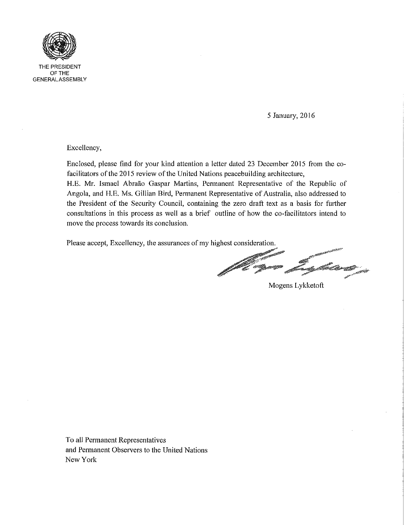

THE PRESIDENT OF THE GENERALASSEMBLY

5 January, 2016

Excellency,

Enclosed, please find for your kind attention a letter dated 23 December 2015 from the cofacilitators of the 2015 review of the United Nations peacebuilding architecture, H.E. Mr. Ismael Abraão Gaspar Martins, Permanent Representative of the Republic of Angola, and H.E. Ms. Gillian Bird, Permanent Representative of Australia, also addressed to the President of the Security Council, containing the zero draft text as a basis for further consultations in this process as well as a brief outline of how the co-facilitators intend to move the process towards its conclusion.

Please accept, Excellency, the assurances of my highest consideration.

eller<br>1990 - San Barang San Barang San Barang San Barang San Barang San Barang San Barang San Barang San Barang San<br>1990 - San Barang San Barang San Barang San Barang San Barang San Barang San Barang San Barang San Barang a Kabupatén Ti

Mogens Lykketoft

To all Permanent Representatives and Permanent Observers to the United Nations New York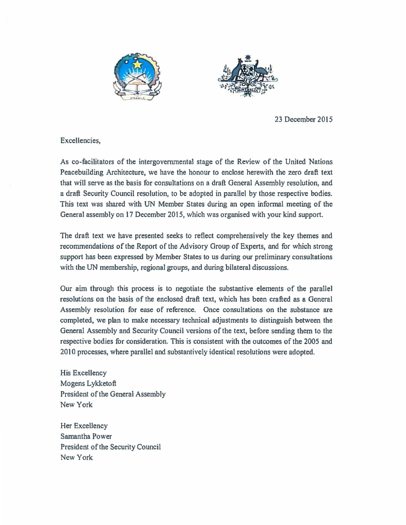



23 December 2015

Excellencies,

As co-facilitators of the intergovernmental stage of the Review of the United Nations Peacebuilding Architecture, we have the honour to enclose herewith the zero draft text that will serve as the basis for consultations on a draft General Assembly resolution, and a draft Security Council resolution, to be adopted in parallel by those respective bodies. This text was shared with UN Member States during an open informal meeting of the General assembly on 17 December 2015, which was organised with your kind support.

The draft text we have presented seeks to reflect comprehensively the key themes and recommendations of the Report of the Advisory Group of Experts, and for which strong support has been expressed by Member States to us during our preliminary consultations with the UN membership, regional groups, and during bilateral discussions.

Our aim through this process is to negotiate the substantive elements of the parallel resolutions on the basis of the enclosed draft text, which has been crafted as a General Assembly resolution for ease of reference. Once consultations on the substance are completed, we plan to make necessary technical adjustments to distinguish between the General Assembly and Security Council versions of the text, before sending them to the respective bodies for consideration. This is consistent with the outcomes of the 2005 and 2010 processes, where parallel and substantively identical resolutions were adopted.

His Excellency Mogens Lykketoft President of the General Assembly New York

Her Excellency Samantha Power President of the Security Council New York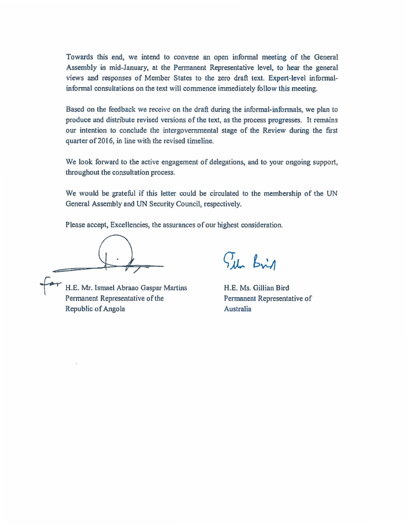Towards this end, we intend to convene an open infonnal meeting of the General Assembly in mid-January, at the Permanent Representative level, to hear the general views and responses of Member States to the zero draft text. Expert-level informalinformal consultations on the text will commence immediately follow this meeting.

Based on the feedback we receive on the draft during the informal-informals, we plan to produce and distribute revised versions of the text, as the process progresses. It remains our intention to conclude the intergovernmental stage of the Review during the first quarter of 2016, in line with the revised timeline.

We look forward to the active engagement of delegations, and to your ongoing support, throughout the consultation process.

We would be grateful if this letter could be circulated to the membership of the UN General Assembly and UN Security Council, respectively.

Please accept, Excellencies, the assurances of our highest consideration.

H.E. Mr. Ismael Abraao Gaspar Martins Permanent Representative of the Republic of Angola

Sil Brid

H.E. Ms. Gillian Bird Permanent Representative of Australia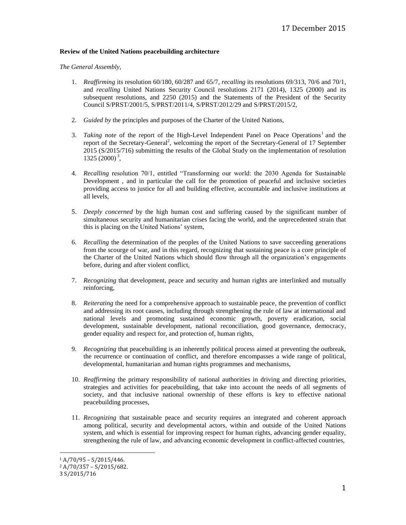## **Review of the United Nations peacebuilding architecture**

## *The General Assembly,*

- 1. *Reaffirming* its resolution 60/180, 60/287 and 65/7, *recalling* its resolutions 69/313, 70/6 and 70/1, and *recalling* United Nations Security Council resolutions 2171 (2014), 1325 (2000) and its subsequent resolutions, and 2250 (2015) and the Statements of the President of the Security Council S/PRST/2001/5, S/PRST/2011/4, S/PRST/2012/29 and S/PRST/2015/2,
- 2. *Guided by* the principles and purposes of the Charter of the United Nations,
- 3. *Taking note* of the report of the High-Level Independent Panel on Peace Operations<sup>1</sup> and the report of the Secretary-General<sup>2</sup>, welcoming the report of the Secretary-General of 17 September 2015 (S/2015/716) submitting the results of the Global Study on the implementation of resolution  $1325(2000)^3$ ,
- 4. *Recalling* resolution 70/1, entitled "Transforming our world: the 2030 Agenda for Sustainable Development , and in particular the call for the promotion of peaceful and inclusive societies providing access to justice for all and building effective, accountable and inclusive institutions at all levels,
- 5. *Deeply concerned* by the high human cost and suffering caused by the significant number of simultaneous security and humanitarian crises facing the world, and the unprecedented strain that this is placing on the United Nations' system,
- 6. *Recalling* the determination of the peoples of the United Nations to save succeeding generations from the scourge of war, and in this regard, recognizing that sustaining peace is a core principle of the Charter of the United Nations which should flow through all the organization's engagements before, during and after violent conflict,
- 7. *Recognizing* that development, peace and security and human rights are interlinked and mutually reinforcing,
- 8. *Reiterating* the need for a comprehensive approach to sustainable peace, the prevention of conflict and addressing its root causes, including through strengthening the rule of law at international and national levels and promoting sustained economic growth, poverty eradication, social development, sustainable development, national reconciliation, good governance, democracy, gender equality and respect for, and protection of, human rights,
- 9. *Recognizing* that peacebuilding is an inherently political process aimed at preventing the outbreak, the recurrence or continuation of conflict, and therefore encompasses a wide range of political, developmental, humanitarian and human rights programmes and mechanisms,
- 10. *Reaffirming* the primary responsibility of national authorities in driving and directing priorities, strategies and activities for peacebuilding, that take into account the needs of all segments of society, and that inclusive national ownership of these efforts is key to effective national peacebuilding processes,
- 11. *Recognizing* that sustainable peace and security requires an integrated and coherent approach among political, security and developmental actors, within and outside of the United Nations system, and which is essential for improving respect for human rights, advancing gender equality, strengthening the rule of law, and advancing economic development in conflict-affected countries,

l  $1 A/70/95 - S/2015/446.$ 

 $2 A/70/357 - S/2015/682.$ 

<sup>3</sup> S/2015/716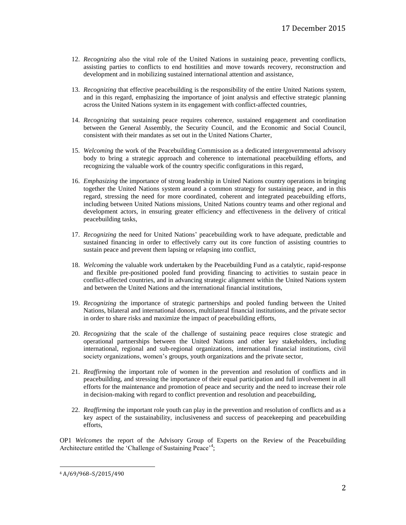- 12. *Recognizing* also the vital role of the United Nations in sustaining peace, preventing conflicts, assisting parties to conflicts to end hostilities and move towards recovery, reconstruction and development and in mobilizing sustained international attention and assistance,
- 13. *Recognizing* that effective peacebuilding is the responsibility of the entire United Nations system, and in this regard, emphasizing the importance of joint analysis and effective strategic planning across the United Nations system in its engagement with conflict-affected countries,
- 14. *Recognizing* that sustaining peace requires coherence, sustained engagement and coordination between the General Assembly, the Security Council, and the Economic and Social Council, consistent with their mandates as set out in the United Nations Charter,
- 15. *Welcoming* the work of the Peacebuilding Commission as a dedicated intergovernmental advisory body to bring a strategic approach and coherence to international peacebuilding efforts, and recognizing the valuable work of the country specific configurations in this regard,
- 16. *Emphasizing* the importance of strong leadership in United Nations country operations in bringing together the United Nations system around a common strategy for sustaining peace, and in this regard, stressing the need for more coordinated, coherent and integrated peacebuilding efforts, including between United Nations missions, United Nations country teams and other regional and development actors, in ensuring greater efficiency and effectiveness in the delivery of critical peacebuilding tasks,
- 17. *Recognizing* the need for United Nations' peacebuilding work to have adequate, predictable and sustained financing in order to effectively carry out its core function of assisting countries to sustain peace and prevent them lapsing or relapsing into conflict,
- 18. *Welcoming* the valuable work undertaken by the Peacebuilding Fund as a catalytic, rapid-response and flexible pre-positioned pooled fund providing financing to activities to sustain peace in conflict-affected countries, and in advancing strategic alignment within the United Nations system and between the United Nations and the international financial institutions,
- 19. *Recognizing* the importance of strategic partnerships and pooled funding between the United Nations, bilateral and international donors, multilateral financial institutions, and the private sector in order to share risks and maximize the impact of peacebuilding efforts,
- 20. *Recognizing* that the scale of the challenge of sustaining peace requires close strategic and operational partnerships between the United Nations and other key stakeholders, including international, regional and sub-regional organizations, international financial institutions, civil society organizations, women's groups, youth organizations and the private sector,
- 21. *Reaffirming* the important role of women in the prevention and resolution of conflicts and in peacebuilding, and stressing the importance of their equal participation and full involvement in all efforts for the maintenance and promotion of peace and security and the need to increase their role in decision-making with regard to conflict prevention and resolution and peacebuilding,
- 22. *Reaffirming* the important role youth can play in the prevention and resolution of conflicts and as a key aspect of the sustainability, inclusiveness and success of peacekeeping and peacebuilding efforts,

OP1 *Welcomes* the report of the Advisory Group of Experts on the Review of the Peacebuilding Architecture entitled the 'Challenge of Sustaining Peace'<sup>4</sup>;

 $\overline{a}$ 

<sup>4</sup> A/69/968–S/2015/490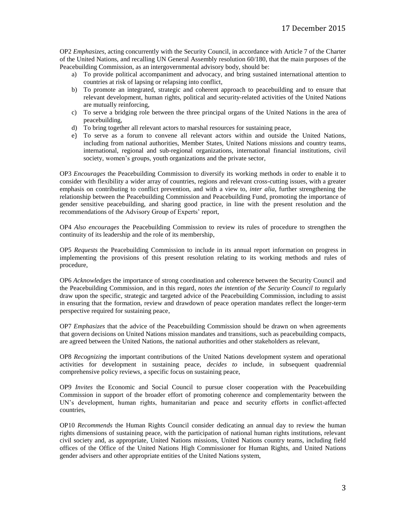OP2 *Emphasizes*, acting concurrently with the Security Council, in accordance with Article 7 of the Charter of the United Nations, and recalling UN General Assembly resolution 60/180, that the main purposes of the Peacebuilding Commission, as an intergovernmental advisory body, should be:

- a) To provide political accompaniment and advocacy, and bring sustained international attention to countries at risk of lapsing or relapsing into conflict,
- b) To promote an integrated, strategic and coherent approach to peacebuilding and to ensure that relevant development, human rights, political and security-related activities of the United Nations are mutually reinforcing,
- c) To serve a bridging role between the three principal organs of the United Nations in the area of peacebuilding,
- d) To bring together all relevant actors to marshal resources for sustaining peace,
- e) To serve as a forum to convene all relevant actors within and outside the United Nations, including from national authorities, Member States, United Nations missions and country teams, international, regional and sub-regional organizations, international financial institutions, civil society, women's groups, youth organizations and the private sector,

OP3 *Encourages* the Peacebuilding Commission to diversify its working methods in order to enable it to consider with flexibility a wider array of countries, regions and relevant cross-cutting issues, with a greater emphasis on contributing to conflict prevention, and with a view to, *inter alia*, further strengthening the relationship between the Peacebuilding Commission and Peacebuilding Fund, promoting the importance of gender sensitive peacebuilding, and sharing good practice, in line with the present resolution and the recommendations of the Advisory Group of Experts' report,

OP4 *Also encourages* the Peacebuilding Commission to review its rules of procedure to strengthen the continuity of its leadership and the role of its membership,

OP5 *Requests* the Peacebuilding Commission to include in its annual report information on progress in implementing the provisions of this present resolution relating to its working methods and rules of procedure,

OP6 *Acknowledges* the importance of strong coordination and coherence between the Security Council and the Peacebuilding Commission, and in this regard, *notes the intention of the Security Council to* regularly draw upon the specific, strategic and targeted advice of the Peacebuilding Commission, including to assist in ensuring that the formation, review and drawdown of peace operation mandates reflect the longer-term perspective required for sustaining peace,

OP7 *Emphasizes* that the advice of the Peacebuilding Commission should be drawn on when agreements that govern decisions on United Nations mission mandates and transitions, such as peacebuilding compacts, are agreed between the United Nations, the national authorities and other stakeholders as relevant,

OP8 *Recognizing* the important contributions of the United Nations development system and operational activities for development in sustaining peace, *decides to* include, in subsequent quadrennial comprehensive policy reviews, a specific focus on sustaining peace,

OP9 *Invites* the Economic and Social Council to pursue closer cooperation with the Peacebuilding Commission in support of the broader effort of promoting coherence and complementarity between the UN's development, human rights, humanitarian and peace and security efforts in conflict-affected countries,

OP10 *Recommends* the Human Rights Council consider dedicating an annual day to review the human rights dimensions of sustaining peace, with the participation of national human rights institutions, relevant civil society and, as appropriate, United Nations missions, United Nations country teams, including field offices of the Office of the United Nations High Commissioner for Human Rights, and United Nations gender advisers and other appropriate entities of the United Nations system,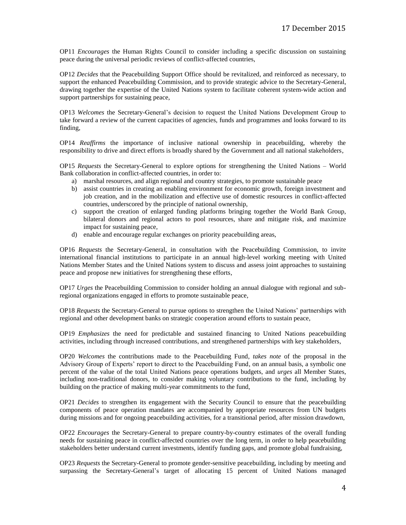OP11 *Encourages* the Human Rights Council to consider including a specific discussion on sustaining peace during the universal periodic reviews of conflict-affected countries,

OP12 *Decides* that the Peacebuilding Support Office should be revitalized, and reinforced as necessary, to support the enhanced Peacebuilding Commission, and to provide strategic advice to the Secretary-General, drawing together the expertise of the United Nations system to facilitate coherent system-wide action and support partnerships for sustaining peace,

OP13 *Welcomes* the Secretary-General's decision to request the United Nations Development Group to take forward a review of the current capacities of agencies, funds and programmes and looks forward to its finding,

OP14 *Reaffirms* the importance of inclusive national ownership in peacebuilding, whereby the responsibility to drive and direct efforts is broadly shared by the Government and all national stakeholders,

OP15 *Requests* the Secretary-General to explore options for strengthening the United Nations – World Bank collaboration in conflict-affected countries, in order to:

- a) marshal resources, and align regional and country strategies, to promote sustainable peace
- b) assist countries in creating an enabling environment for economic growth, foreign investment and job creation, and in the mobilization and effective use of domestic resources in conflict-affected countries, underscored by the principle of national ownership,
- c) support the creation of enlarged funding platforms bringing together the World Bank Group, bilateral donors and regional actors to pool resources, share and mitigate risk, and maximize impact for sustaining peace,
- d) enable and encourage regular exchanges on priority peacebuilding areas,

OP16 *Requests* the Secretary-General, in consultation with the Peacebuilding Commission, to invite international financial institutions to participate in an annual high-level working meeting with United Nations Member States and the United Nations system to discuss and assess joint approaches to sustaining peace and propose new initiatives for strengthening these efforts,

OP17 *Urges* the Peacebuilding Commission to consider holding an annual dialogue with regional and subregional organizations engaged in efforts to promote sustainable peace,

OP18 *Requests* the Secretary-General to pursue options to strengthen the United Nations' partnerships with regional and other development banks on strategic cooperation around efforts to sustain peace,

OP19 *Emphasizes* the need for predictable and sustained financing to United Nations peacebuilding activities, including through increased contributions, and strengthened partnerships with key stakeholders,

OP20 *Welcomes* the contributions made to the Peacebuilding Fund, *takes note* of the proposal in the Advisory Group of Experts' report to direct to the Peacebuilding Fund, on an annual basis, a symbolic one percent of the value of the total United Nations peace operations budgets, and *urges* all Member States, including non-traditional donors, to consider making voluntary contributions to the fund, including by building on the practice of making multi-year commitments to the fund,

OP21 *Decides* to strengthen its engagement with the Security Council to ensure that the peacebuilding components of peace operation mandates are accompanied by appropriate resources from UN budgets during missions and for ongoing peacebuilding activities, for a transitional period, after mission drawdown,

OP22 *Encourages* the Secretary-General to prepare country-by-country estimates of the overall funding needs for sustaining peace in conflict-affected countries over the long term, in order to help peacebuilding stakeholders better understand current investments, identify funding gaps, and promote global fundraising,

OP23 *Requests* the Secretary-General to promote gender-sensitive peacebuilding, including by meeting and surpassing the Secretary-General's target of allocating 15 percent of United Nations managed